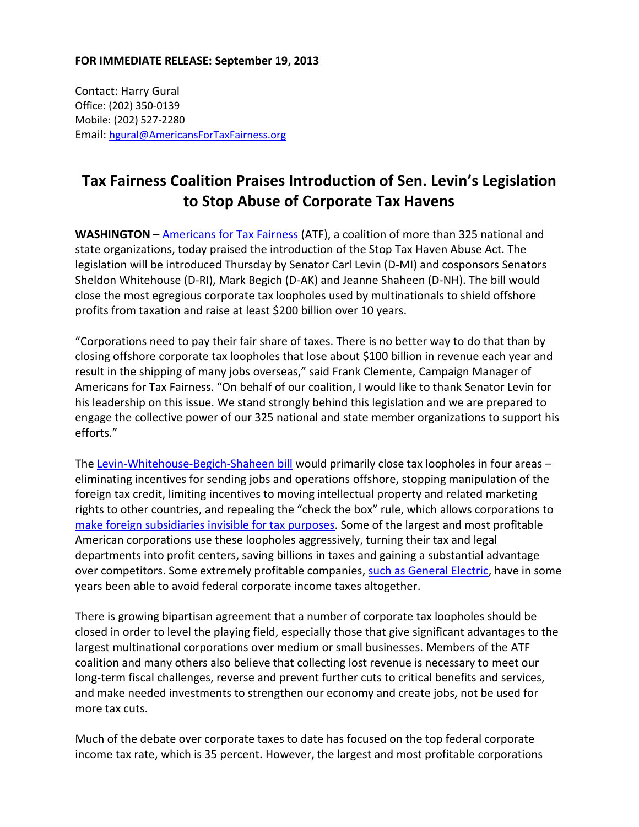## **FOR IMMEDIATE RELEASE: September 19, 2013**

Contact: Harry Gural Office: (202) 350-0139 Mobile: (202) 527-2280 Email: [hgural@AmericansForTaxFairness.org](mailto:hgural@AmericansForTaxFairness.org)

## **Tax Fairness Coalition Praises Introduction of Sen. Levin's Legislation to Stop Abuse of Corporate Tax Havens**

**WASHINGTON** – [Americans for Tax Fairness](http://bit.ly/16ibVsK) (ATF), a coalition of more than 325 national and state organizations, today praised the introduction of the Stop Tax Haven Abuse Act. The legislation will be introduced Thursday by Senator Carl Levin (D-MI) and cosponsors Senators Sheldon Whitehouse (D-RI), Mark Begich (D-AK) and Jeanne Shaheen (D-NH). The bill would close the most egregious corporate tax loopholes used by multinationals to shield offshore profits from taxation and raise at least \$200 billion over 10 years.

"Corporations need to pay their fair share of taxes. There is no better way to do that than by closing offshore corporate tax loopholes that lose about \$100 billion in revenue each year and result in the shipping of many jobs overseas," said Frank Clemente, Campaign Manager of Americans for Tax Fairness. "On behalf of our coalition, I would like to thank Senator Levin for his leadership on this issue. We stand strongly behind this legislation and we are prepared to engage the collective power of our 325 national and state member organizations to support his efforts."

The [Levin-Whitehouse-Begich-Shaheen](http://www.levin.senate.gov/download/?id=849F9977-BD68-48F1-A13F-37E4C438D36C) bill would primarily close tax loopholes in four areas – eliminating incentives for sending jobs and operations offshore, stopping manipulation of the foreign tax credit, limiting incentives to moving intellectual property and related marketing rights to other countries, and repealing the "check the box" rule, which allows corporations to [make foreign subsidiaries invisible for tax purposes.](http://online.wsj.com/article/SB10001424127887323463704578497290099032374.html) Some of the largest and most profitable American corporations use these loopholes aggressively, turning their tax and legal departments into profit centers, saving billions in taxes and gaining a substantial advantage over competitors. Some extremely profitable companies[, such as General Electric,](http://nyti.ms/18zJ57V) have in some years been able to avoid federal corporate income taxes altogether.

There is growing bipartisan agreement that a number of corporate tax loopholes should be closed in order to level the playing field, especially those that give significant advantages to the largest multinational corporations over medium or small businesses. Members of the ATF coalition and many others also believe that collecting lost revenue is necessary to meet our long-term fiscal challenges, reverse and prevent further cuts to critical benefits and services, and make needed investments to strengthen our economy and create jobs, not be used for more tax cuts.

Much of the debate over corporate taxes to date has focused on the top federal corporate income tax rate, which is 35 percent. However, the largest and most profitable corporations